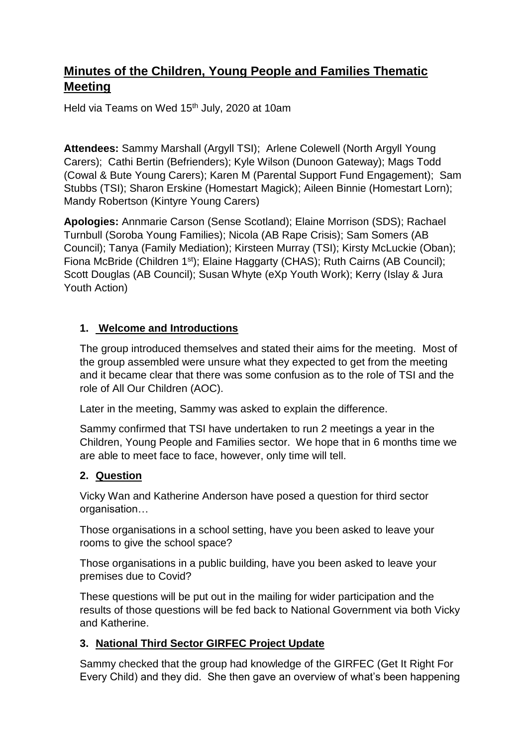# **Minutes of the Children, Young People and Families Thematic Meeting**

Held via Teams on Wed 15<sup>th</sup> July, 2020 at 10am

**Attendees:** Sammy Marshall (Argyll TSI); Arlene Colewell (North Argyll Young Carers); Cathi Bertin (Befrienders); Kyle Wilson (Dunoon Gateway); Mags Todd (Cowal & Bute Young Carers); Karen M (Parental Support Fund Engagement); Sam Stubbs (TSI); Sharon Erskine (Homestart Magick); Aileen Binnie (Homestart Lorn); Mandy Robertson (Kintyre Young Carers)

**Apologies:** Annmarie Carson (Sense Scotland); Elaine Morrison (SDS); Rachael Turnbull (Soroba Young Families); Nicola (AB Rape Crisis); Sam Somers (AB Council); Tanya (Family Mediation); Kirsteen Murray (TSI); Kirsty McLuckie (Oban); Fiona McBride (Children 1st); Elaine Haggarty (CHAS); Ruth Cairns (AB Council); Scott Douglas (AB Council); Susan Whyte (eXp Youth Work); Kerry (Islay & Jura Youth Action)

### **1. Welcome and Introductions**

The group introduced themselves and stated their aims for the meeting. Most of the group assembled were unsure what they expected to get from the meeting and it became clear that there was some confusion as to the role of TSI and the role of All Our Children (AOC).

Later in the meeting, Sammy was asked to explain the difference.

Sammy confirmed that TSI have undertaken to run 2 meetings a year in the Children, Young People and Families sector. We hope that in 6 months time we are able to meet face to face, however, only time will tell.

#### **2. Question**

Vicky Wan and Katherine Anderson have posed a question for third sector organisation…

Those organisations in a school setting, have you been asked to leave your rooms to give the school space?

Those organisations in a public building, have you been asked to leave your premises due to Covid?

These questions will be put out in the mailing for wider participation and the results of those questions will be fed back to National Government via both Vicky and Katherine.

## **3. National Third Sector GIRFEC Project Update**

Sammy checked that the group had knowledge of the GIRFEC (Get It Right For Every Child) and they did. She then gave an overview of what's been happening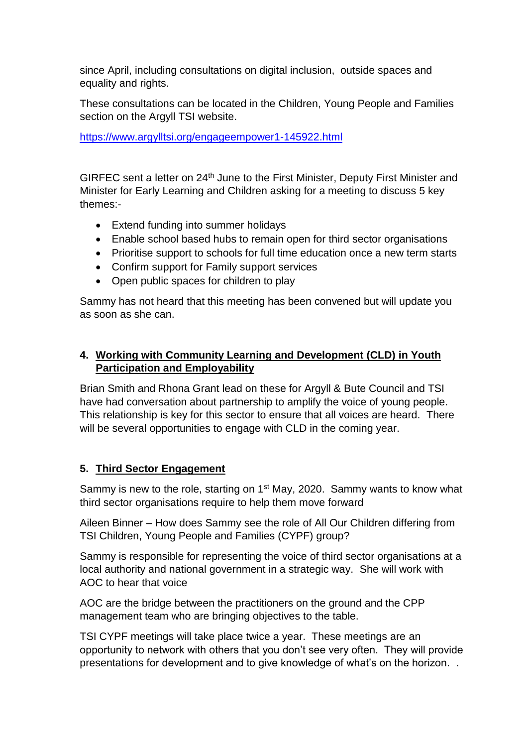since April, including consultations on digital inclusion, outside spaces and equality and rights.

These consultations can be located in the Children, Young People and Families section on the Argyll TSI website.

<https://www.argylltsi.org/engageempower1-145922.html>

GIRFEC sent a letter on 24<sup>th</sup> June to the First Minister, Deputy First Minister and Minister for Early Learning and Children asking for a meeting to discuss 5 key themes:-

- Extend funding into summer holidays
- Enable school based hubs to remain open for third sector organisations
- Prioritise support to schools for full time education once a new term starts
- Confirm support for Family support services
- Open public spaces for children to play

Sammy has not heard that this meeting has been convened but will update you as soon as she can.

# **4. Working with Community Learning and Development (CLD) in Youth Participation and Employability**

Brian Smith and Rhona Grant lead on these for Argyll & Bute Council and TSI have had conversation about partnership to amplify the voice of young people. This relationship is key for this sector to ensure that all voices are heard. There will be several opportunities to engage with CLD in the coming year.

# **5. Third Sector Engagement**

Sammy is new to the role, starting on 1<sup>st</sup> May, 2020. Sammy wants to know what third sector organisations require to help them move forward

Aileen Binner – How does Sammy see the role of All Our Children differing from TSI Children, Young People and Families (CYPF) group?

Sammy is responsible for representing the voice of third sector organisations at a local authority and national government in a strategic way. She will work with AOC to hear that voice

AOC are the bridge between the practitioners on the ground and the CPP management team who are bringing objectives to the table.

TSI CYPF meetings will take place twice a year. These meetings are an opportunity to network with others that you don't see very often. They will provide presentations for development and to give knowledge of what's on the horizon. .